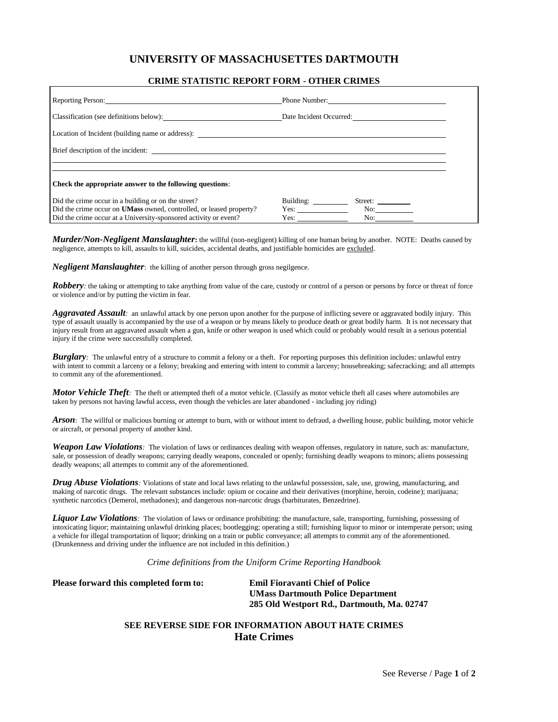## **UNIVERSITY OF MASSACHUSETTES DARTMOUTH**

## **CRIME STATISTIC REPORT FORM - OTHER CRIMES**

| Reporting Person: 2000 and 2000 and 2000 and 2000 and 2000 and 2000 and 2000 and 2000 and 2000 and 2000 and 20 | Phone Number:        |
|----------------------------------------------------------------------------------------------------------------|----------------------|
| Classification (see definitions below): Date Incident Occurred:                                                |                      |
|                                                                                                                |                      |
| Brief description of the incident: <u>the contract of the incident</u> of the incident of the incident:        |                      |
|                                                                                                                |                      |
| Check the appropriate answer to the following questions:                                                       |                      |
| Did the crime occur in a building or on the street?                                                            | Building:<br>Street: |
| Did the crime occur on <b>UMass</b> owned, controlled, or leased property?                                     | No:<br>Yes:          |
| Did the crime occur at a University-sponsored activity or event?                                               | No:<br>Yes:          |

*Murder/Non-Negligent Manslaughter***:** the willful (non-negligent) killing of one human being by another. NOTE: Deaths caused by negligence, attempts to kill, assaults to kill, suicides, accidental deaths, and justifiable homicides are excluded.

*Negligent Manslaughter*: the killing of another person through gross negilgence.

*Robbery*: the taking or attempting to take anything from value of the care, custody or control of a person or persons by force or threat of force or violence and/or by putting the victim in fear.

*Aggravated Assault:* an unlawful attack by one person upon another for the purpose of inflicting severe or aggravated bodily injury. This type of assault usually is accompanied by the use of a weapon or by means likely to produce death or great bodily harm. It is not necessary that injury result from an aggravated assault when a gun, knife or other weapon is used which could or probably would result in a serious potential injury if the crime were successfully completed.

*Burglary*: The unlawful entry of a structure to commit a felony or a theft. For reporting purposes this definition includes: unlawful entry with intent to commit a larceny or a felony; breaking and entering with intent to commit a larceny; housebreaking; safecracking; and all attempts to commit any of the aforementioned.

*Motor Vehicle Theft*: The theft or attempted theft of a motor vehicle. (Classify as motor vehicle theft all cases where automobiles are taken by persons not having lawful access, even though the vehicles are later abandoned - including joy riding)

*Arson*: The willful or malicious burning or attempt to burn, with or without intent to defraud, a dwelling house, public building, motor vehicle or aircraft, or personal property of another kind.

*Weapon Law Violations*: The violation of laws or ordinances dealing with weapon offenses, regulatory in nature, such as: manufacture, sale, or possession of deadly weapons; carrying deadly weapons, concealed or openly; furnishing deadly weapons to minors; aliens possessing deadly weapons; all attempts to commit any of the aforementioned.

*Drug Abuse Violations*: Violations of state and local laws relating to the unlawful possession, sale, use, growing, manufacturing, and making of narcotic drugs. The relevant substances include: opium or cocaine and their derivatives (morphine, heroin, codeine); marijuana; synthetic narcotics (Demerol, methadones); and dangerous non-narcotic drugs (barbiturates, Benzedrine).

*Liquor Law Violations*: The violation of laws or ordinance prohibiting: the manufacture, sale, transporting, furnishing, possessing of intoxicating liquor; maintaining unlawful drinking places; bootlegging; operating a still; furnishing liquor to minor or intemperate person; using a vehicle for illegal transportation of liquor; drinking on a train or public conveyance; all attempts to commit any of the aforementioned. (Drunkenness and driving under the influence are not included in this definition.)

*Crime definitions from the Uniform Crime Reporting Handbook*

**Please forward this completed form to: Emil Fioravanti Chief of Police**

**UMass Dartmouth Police Department 285 Old Westport Rd., Dartmouth, Ma. 02747**

## **SEE REVERSE SIDE FOR INFORMATION ABOUT HATE CRIMES Hate Crimes**